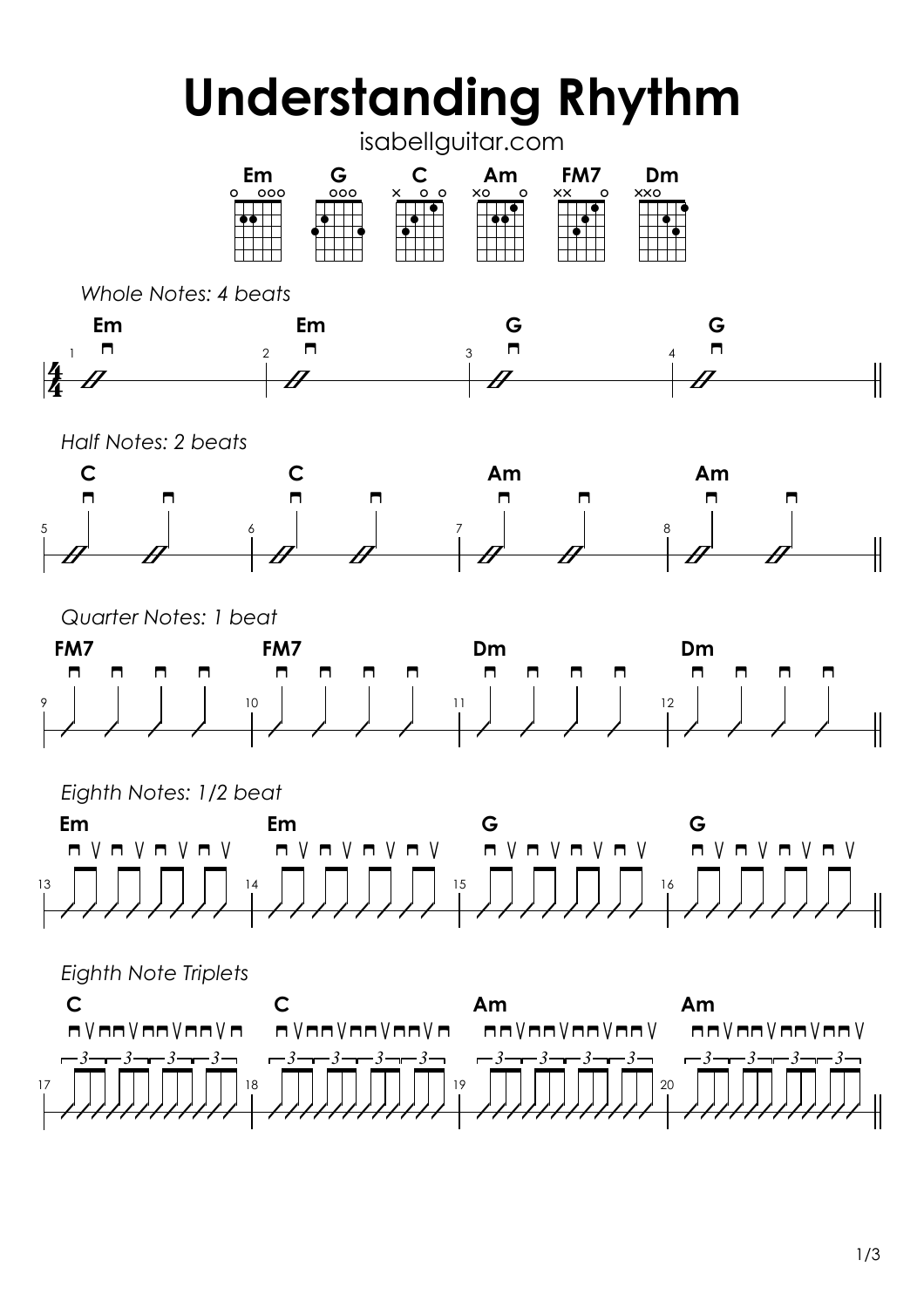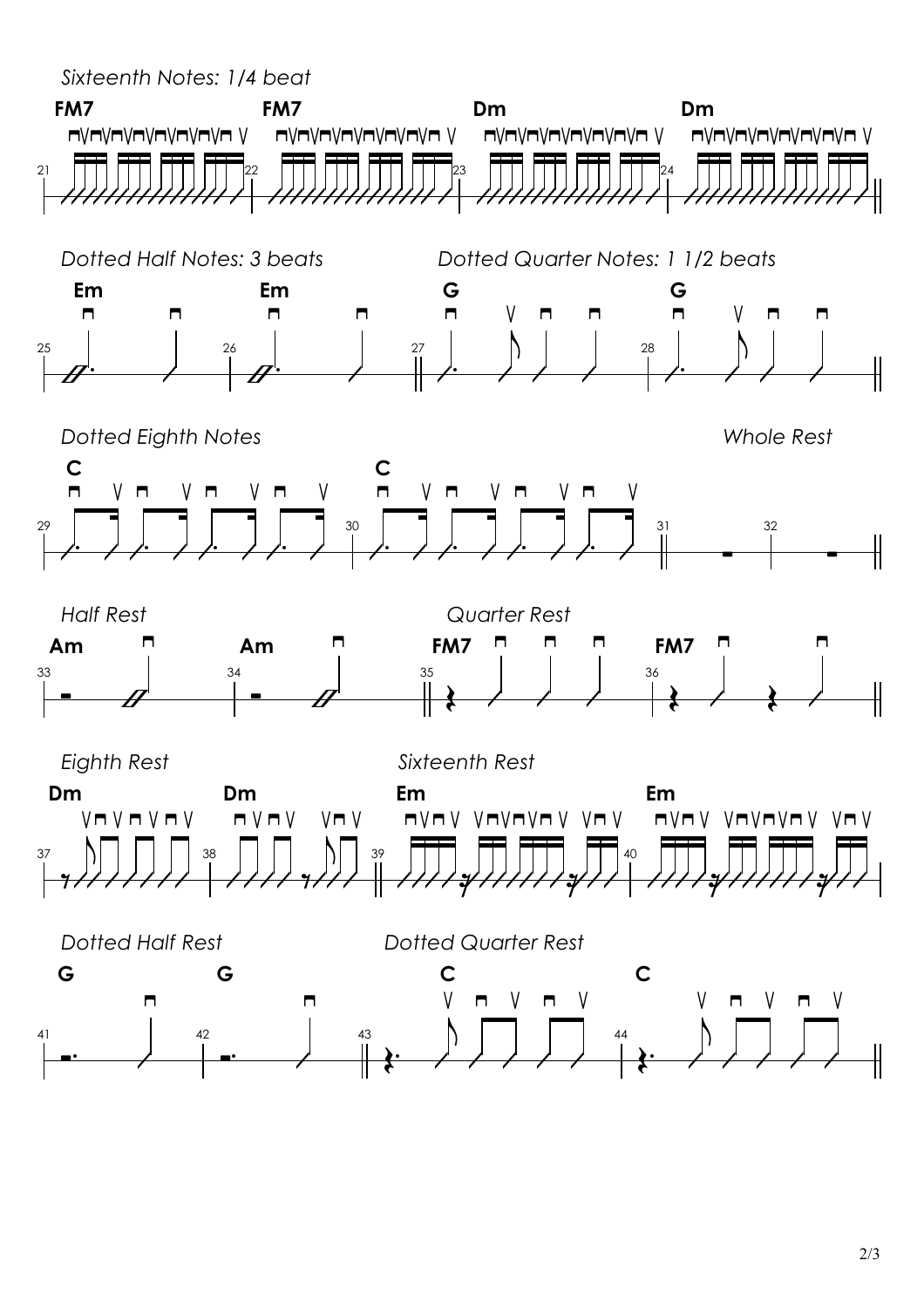